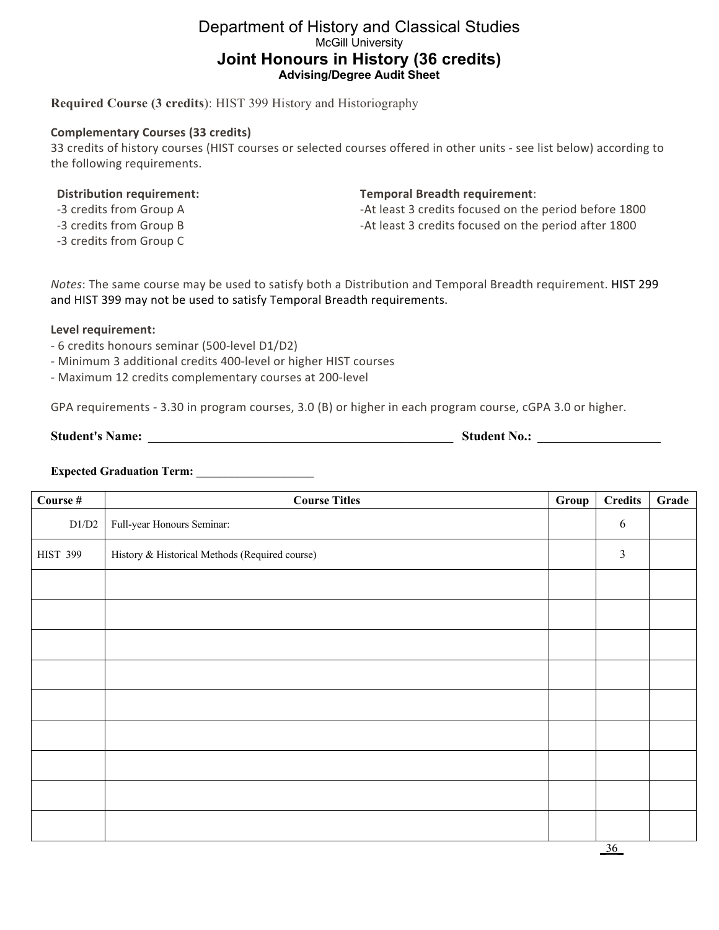# Department of History and Classical Studies McGill University **Joint Honours in History (36 credits) Advising/Degree Audit Sheet**

**Required Course (3 credits**): HIST 399 History and Historiography

## **Complementary Courses (33 credits)**

33 credits of history courses (HIST courses or selected courses offered in other units - see list below) according to the following requirements.

### **Distribution requirement:**

- -3 credits from Group A
- -3 credits from Group B
- -3 credits from Group C

#### **Temporal Breadth requirement**:

-At least 3 credits focused on the period before 1800 -At least 3 credits focused on the period after 1800

*Notes*: The same course may be used to satisfy both a Distribution and Temporal Breadth requirement. HIST 299 and HIST 399 may not be used to satisfy Temporal Breadth requirements.

### **Level requirement:**

- 6 credits honours seminar (500-level D1/D2)
- Minimum 3 additional credits 400-level or higher HIST courses
- Maximum 12 credits complementary courses at 200-level

GPA requirements - 3.30 in program courses, 3.0 (B) or higher in each program course, cGPA 3.0 or higher.

**Student's Name: \_\_\_\_\_\_\_\_\_\_\_\_\_\_\_\_\_\_\_\_\_\_\_\_\_\_\_\_\_\_\_\_\_\_\_\_\_\_\_\_\_\_\_\_\_\_\_\_\_\_\_\_ Student No.: \_\_\_\_\_\_\_\_\_\_\_\_\_\_\_\_\_\_\_\_\_**

# **Expected Graduation Term: \_\_\_\_\_\_\_\_\_\_\_\_\_\_\_\_\_\_\_\_**

| Course #        | <b>Course Titles</b>                           | Group | <b>Credits</b> | Grade |
|-----------------|------------------------------------------------|-------|----------------|-------|
| D1/D2           | Full-year Honours Seminar:                     |       | 6              |       |
| <b>HIST 399</b> | History & Historical Methods (Required course) |       | $\mathfrak{Z}$ |       |
|                 |                                                |       |                |       |
|                 |                                                |       |                |       |
|                 |                                                |       |                |       |
|                 |                                                |       |                |       |
|                 |                                                |       |                |       |
|                 |                                                |       |                |       |
|                 |                                                |       |                |       |
|                 |                                                |       |                |       |
|                 |                                                |       |                |       |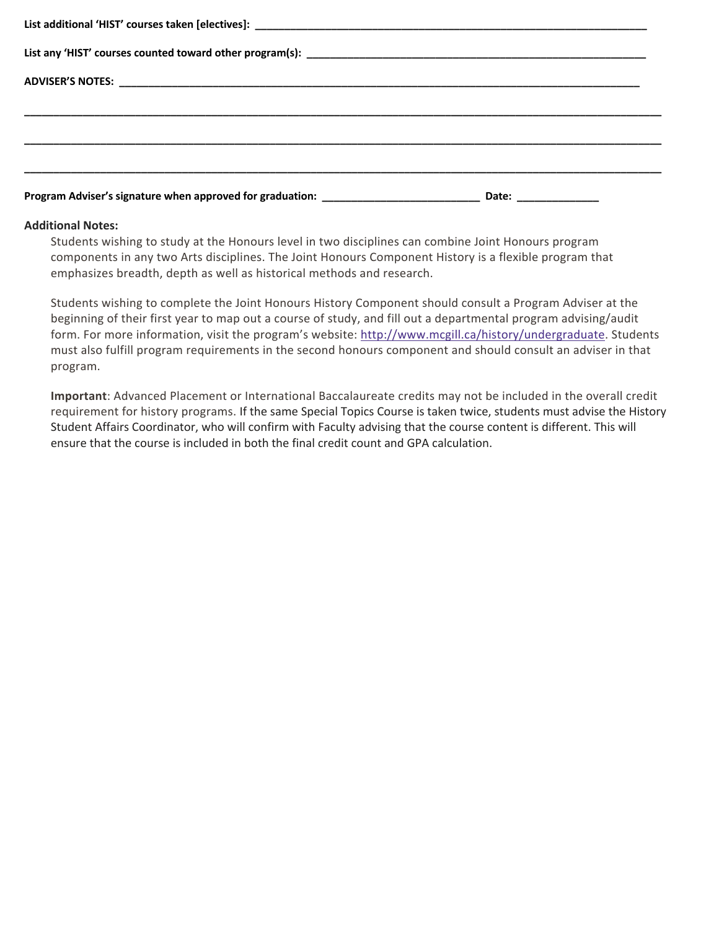| Program Adviser's signature when approved for graduation: _______________________ |  | Date: ________________ |  |  |  |
|-----------------------------------------------------------------------------------|--|------------------------|--|--|--|

#### **Additional Notes:**

Students wishing to study at the Honours level in two disciplines can combine Joint Honours program components in any two Arts disciplines. The Joint Honours Component History is a flexible program that emphasizes breadth, depth as well as historical methods and research.

Students wishing to complete the Joint Honours History Component should consult a Program Adviser at the beginning of their first year to map out a course of study, and fill out a departmental program advising/audit form. For more information, visit the program's website: http://www.mcgill.ca/history/undergraduate. Students must also fulfill program requirements in the second honours component and should consult an adviser in that program.

**Important**: Advanced Placement or International Baccalaureate credits may not be included in the overall credit requirement for history programs. If the same Special Topics Course is taken twice, students must advise the History Student Affairs Coordinator, who will confirm with Faculty advising that the course content is different. This will ensure that the course is included in both the final credit count and GPA calculation.